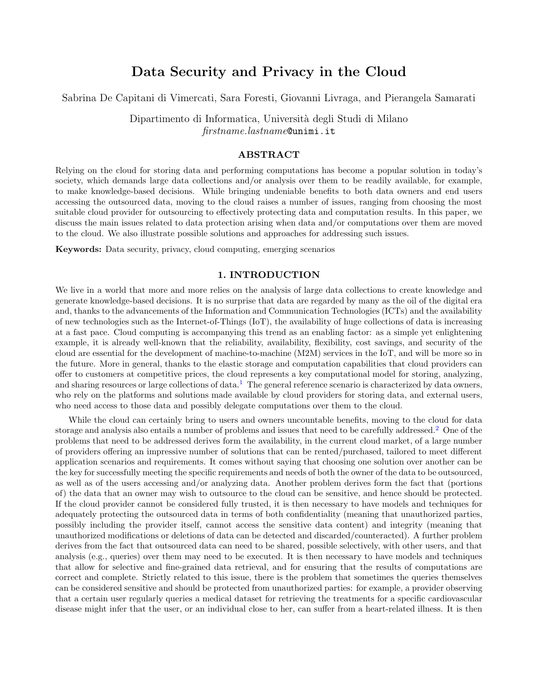# Data Security and Privacy in the Cloud

Sabrina De Capitani di Vimercati, Sara Foresti, Giovanni Livraga, and Pierangela Samarati

Dipartimento di Informatica, Università degli Studi di Milano firstname.lastname@unimi.it

## ABSTRACT

Relying on the cloud for storing data and performing computations has become a popular solution in today's society, which demands large data collections and/or analysis over them to be readily available, for example, to make knowledge-based decisions. While bringing undeniable benefits to both data owners and end users accessing the outsourced data, moving to the cloud raises a number of issues, ranging from choosing the most suitable cloud provider for outsourcing to effectively protecting data and computation results. In this paper, we discuss the main issues related to data protection arising when data and/or computations over them are moved to the cloud. We also illustrate possible solutions and approaches for addressing such issues.

Keywords: Data security, privacy, cloud computing, emerging scenarios

# 1. INTRODUCTION

We live in a world that more and more relies on the analysis of large data collections to create knowledge and generate knowledge-based decisions. It is no surprise that data are regarded by many as the oil of the digital era and, thanks to the advancements of the Information and Communication Technologies (ICTs) and the availability of new technologies such as the Internet-of-Things (IoT), the availability of huge collections of data is increasing at a fast pace. Cloud computing is accompanying this trend as an enabling factor: as a simple yet enlightening example, it is already well-known that the reliability, availability, flexibility, cost savings, and security of the cloud are essential for the development of machine-to-machine (M2M) services in the IoT, and will be more so in the future. More in general, thanks to the elastic storage and computation capabilities that cloud providers can offer to customers at competitive prices, the cloud represents a key computational model for storing, analyzing, and sharing resources or large collections of data.<sup>[1](#page-8-0)</sup> The general reference scenario is characterized by data owners, who rely on the platforms and solutions made available by cloud providers for storing data, and external users, who need access to those data and possibly delegate computations over them to the cloud.

While the cloud can certainly bring to users and owners uncountable benefits, moving to the cloud for data storage and analysis also entails a number of problems and issues that need to be carefully addressed.<sup>[2](#page-8-1)</sup> One of the problems that need to be addressed derives form the availability, in the current cloud market, of a large number of providers offering an impressive number of solutions that can be rented/purchased, tailored to meet different application scenarios and requirements. It comes without saying that choosing one solution over another can be the key for successfully meeting the specific requirements and needs of both the owner of the data to be outsourced, as well as of the users accessing and/or analyzing data. Another problem derives form the fact that (portions of) the data that an owner may wish to outsource to the cloud can be sensitive, and hence should be protected. If the cloud provider cannot be considered fully trusted, it is then necessary to have models and techniques for adequately protecting the outsourced data in terms of both confidentiality (meaning that unauthorized parties, possibly including the provider itself, cannot access the sensitive data content) and integrity (meaning that unauthorized modifications or deletions of data can be detected and discarded/counteracted). A further problem derives from the fact that outsourced data can need to be shared, possible selectively, with other users, and that analysis (e.g., queries) over them may need to be executed. It is then necessary to have models and techniques that allow for selective and fine-grained data retrieval, and for ensuring that the results of computations are correct and complete. Strictly related to this issue, there is the problem that sometimes the queries themselves can be considered sensitive and should be protected from unauthorized parties: for example, a provider observing that a certain user regularly queries a medical dataset for retrieving the treatments for a specific cardiovascular disease might infer that the user, or an individual close to her, can suffer from a heart-related illness. It is then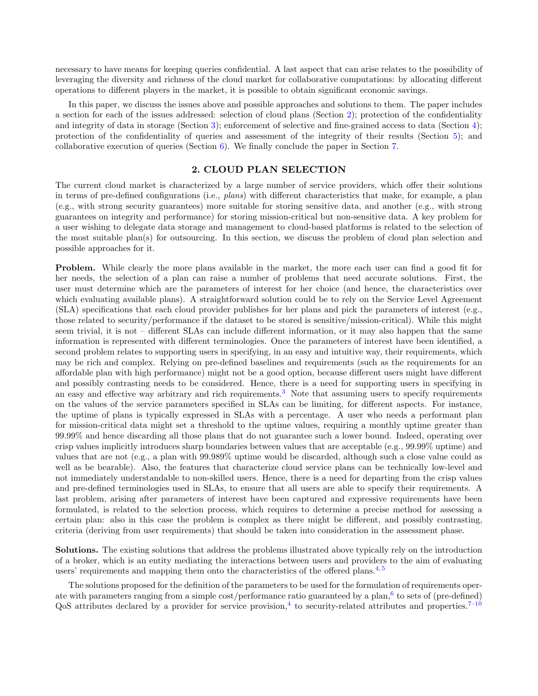necessary to have means for keeping queries confidential. A last aspect that can arise relates to the possibility of leveraging the diversity and richness of the cloud market for collaborative computations: by allocating different operations to different players in the market, it is possible to obtain significant economic savings.

In this paper, we discuss the issues above and possible approaches and solutions to them. The paper includes a section for each of the issues addressed: selection of cloud plans (Section [2\)](#page-1-0); protection of the confidentiality and integrity of data in storage (Section [3\)](#page-2-0); enforcement of selective and fine-grained access to data (Section [4\)](#page-4-0); protection of the confidentiality of queries and assessment of the integrity of their results (Section [5\)](#page-5-0); and collaborative execution of queries (Section [6\)](#page-7-0). We finally conclude the paper in Section [7.](#page-8-2)

#### 2. CLOUD PLAN SELECTION

<span id="page-1-0"></span>The current cloud market is characterized by a large number of service providers, which offer their solutions in terms of pre-defined configurations (i.e., plans) with different characteristics that make, for example, a plan (e.g., with strong security guarantees) more suitable for storing sensitive data, and another (e.g., with strong guarantees on integrity and performance) for storing mission-critical but non-sensitive data. A key problem for a user wishing to delegate data storage and management to cloud-based platforms is related to the selection of the most suitable plan(s) for outsourcing. In this section, we discuss the problem of cloud plan selection and possible approaches for it.

Problem. While clearly the more plans available in the market, the more each user can find a good fit for her needs, the selection of a plan can raise a number of problems that need accurate solutions. First, the user must determine which are the parameters of interest for her choice (and hence, the characteristics over which evaluating available plans). A straightforward solution could be to rely on the Service Level Agreement (SLA) specifications that each cloud provider publishes for her plans and pick the parameters of interest (e.g., those related to security/performance if the dataset to be stored is sensitive/mission-critical). While this might seem trivial, it is not – different SLAs can include different information, or it may also happen that the same information is represented with different terminologies. Once the parameters of interest have been identified, a second problem relates to supporting users in specifying, in an easy and intuitive way, their requirements, which may be rich and complex. Relying on pre-defined baselines and requirements (such as the requirements for an affordable plan with high performance) might not be a good option, because different users might have different and possibly contrasting needs to be considered. Hence, there is a need for supporting users in specifying in an easy and effective way arbitrary and rich requirements.[3](#page-8-3) Note that assuming users to specify requirements on the values of the service parameters specified in SLAs can be limiting, for different aspects. For instance, the uptime of plans is typically expressed in SLAs with a percentage. A user who needs a performant plan for mission-critical data might set a threshold to the uptime values, requiring a monthly uptime greater than 99.99% and hence discarding all those plans that do not guarantee such a lower bound. Indeed, operating over crisp values implicitly introduces sharp boundaries between values that are acceptable (e.g., 99.99% uptime) and values that are not (e.g., a plan with 99.989% uptime would be discarded, although such a close value could as well as be bearable). Also, the features that characterize cloud service plans can be technically low-level and not immediately understandable to non-skilled users. Hence, there is a need for departing from the crisp values and pre-defined terminologies used in SLAs, to ensure that all users are able to specify their requirements. A last problem, arising after parameters of interest have been captured and expressive requirements have been formulated, is related to the selection process, which requires to determine a precise method for assessing a certain plan: also in this case the problem is complex as there might be different, and possibly contrasting, criteria (deriving from user requirements) that should be taken into consideration in the assessment phase.

Solutions. The existing solutions that address the problems illustrated above typically rely on the introduction of a broker, which is an entity mediating the interactions between users and providers to the aim of evaluating users' requirements and mapping them onto the characteristics of the offered plans. $4,5$  $4,5$ 

The solutions proposed for the definition of the parameters to be used for the formulation of requirements oper-ate with parameters ranging from a simple cost/performance ratio guaranteed by a plan,<sup>[6](#page-9-2)</sup> to sets of (pre-defined)  $Q$ oS attributes declared by a provider for service provision,<sup>[4](#page-9-0)</sup> to security-related attributes and properties.<sup>7-[10](#page-9-4)</sup>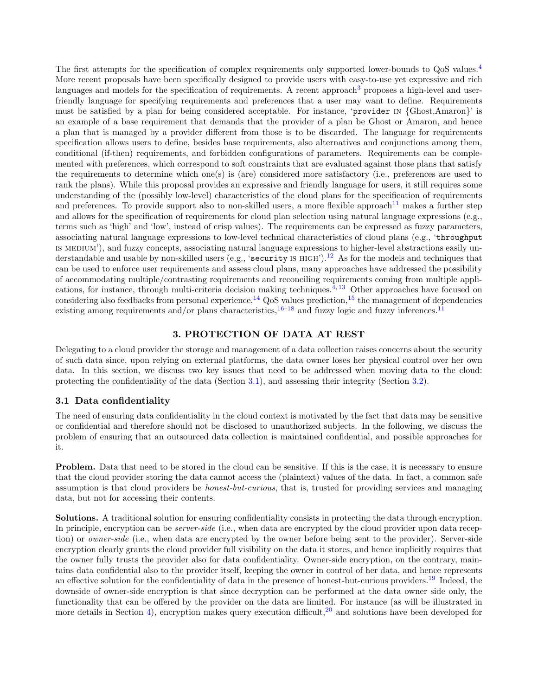The first attempts for the specification of complex requirements only supported lower-bounds to QoS values.<sup>[4](#page-9-0)</sup> More recent proposals have been specifically designed to provide users with easy-to-use yet expressive and rich languages and models for the specification of requirements. A recent approach<sup>[3](#page-8-3)</sup> proposes a high-level and userfriendly language for specifying requirements and preferences that a user may want to define. Requirements must be satisfied by a plan for being considered acceptable. For instance, 'provider in {Ghost,Amaron}' is an example of a base requirement that demands that the provider of a plan be Ghost or Amaron, and hence a plan that is managed by a provider different from those is to be discarded. The language for requirements specification allows users to define, besides base requirements, also alternatives and conjunctions among them, conditional (if-then) requirements, and forbidden configurations of parameters. Requirements can be complemented with preferences, which correspond to soft constraints that are evaluated against those plans that satisfy the requirements to determine which one(s) is (are) considered more satisfactory (i.e., preferences are used to rank the plans). While this proposal provides an expressive and friendly language for users, it still requires some understanding of the (possibly low-level) characteristics of the cloud plans for the specification of requirements and preferences. To provide support also to non-skilled users, a more flexible approach<sup>[11](#page-9-5)</sup> makes a further step and allows for the specification of requirements for cloud plan selection using natural language expressions (e.g., terms such as 'high' and 'low', instead of crisp values). The requirements can be expressed as fuzzy parameters, associating natural language expressions to low-level technical characteristics of cloud plans (e.g., 'throughput is medium'), and fuzzy concepts, associating natural language expressions to higher-level abstractions easily understandable and usable by non-skilled users (e.g., 'security is  $HIGH$ ).<sup>[12](#page-9-6)</sup> As for the models and techniques that can be used to enforce user requirements and assess cloud plans, many approaches have addressed the possibility of accommodating multiple/contrasting requirements and reconciling requirements coming from multiple appli-cations, for instance, through multi-criteria decision making techniques.<sup>[4,](#page-9-0) [13](#page-9-7)</sup> Other approaches have focused on considering also feedbacks from personal experience,  $^{14}$  $^{14}$  $^{14}$  QoS values prediction,  $^{15}$  $^{15}$  $^{15}$  the management of dependencies existing among requirements and/or plans characteristics,  $16-18$  $16-18$  and fuzzy logic and fuzzy inferences.<sup>[11](#page-9-5)</sup>

## 3. PROTECTION OF DATA AT REST

<span id="page-2-0"></span>Delegating to a cloud provider the storage and management of a data collection raises concerns about the security of such data since, upon relying on external platforms, the data owner loses her physical control over her own data. In this section, we discuss two key issues that need to be addressed when moving data to the cloud: protecting the confidentiality of the data (Section [3.1\)](#page-2-1), and assessing their integrity (Section [3.2\)](#page-3-0).

#### <span id="page-2-1"></span>3.1 Data confidentiality

The need of ensuring data confidentiality in the cloud context is motivated by the fact that data may be sensitive or confidential and therefore should not be disclosed to unauthorized subjects. In the following, we discuss the problem of ensuring that an outsourced data collection is maintained confidential, and possible approaches for it.

Problem. Data that need to be stored in the cloud can be sensitive. If this is the case, it is necessary to ensure that the cloud provider storing the data cannot access the (plaintext) values of the data. In fact, a common safe assumption is that cloud providers be *honest-but-curious*, that is, trusted for providing services and managing data, but not for accessing their contents.

Solutions. A traditional solution for ensuring confidentiality consists in protecting the data through encryption. In principle, encryption can be *server-side* (i.e., when data are encrypted by the cloud provider upon data reception) or *owner-side* (i.e., when data are encrypted by the owner before being sent to the provider). Server-side encryption clearly grants the cloud provider full visibility on the data it stores, and hence implicitly requires that the owner fully trusts the provider also for data confidentiality. Owner-side encryption, on the contrary, maintains data confidential also to the provider itself, keeping the owner in control of her data, and hence represents an effective solution for the confidentiality of data in the presence of honest-but-curious providers.<sup>[19](#page-9-12)</sup> Indeed, the downside of owner-side encryption is that since decryption can be performed at the data owner side only, the functionality that can be offered by the provider on the data are limited. For instance (as will be illustrated in more details in Section [4\)](#page-4-0), encryption makes query execution difficult,<sup>[20](#page-9-13)</sup> and solutions have been developed for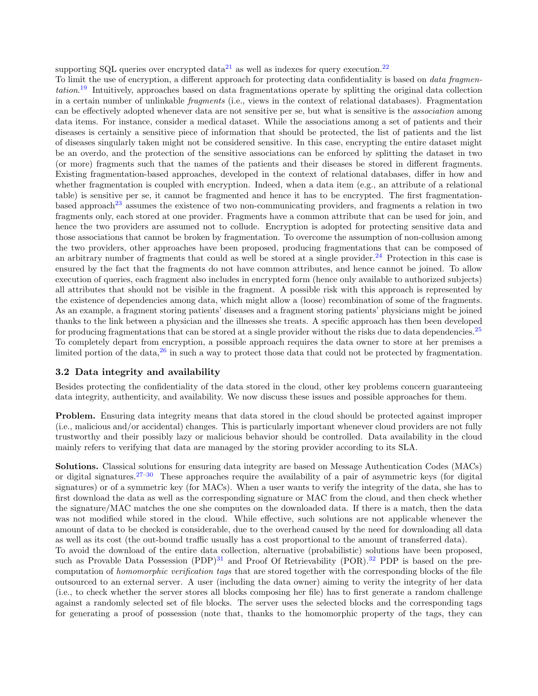supporting SQL queries over encrypted  $data^{21}$  $data^{21}$  $data^{21}$  as well as indexes for query execution.<sup>[22](#page-9-15)</sup>

To limit the use of encryption, a different approach for protecting data confidentiality is based on *data fragmen*-tation.<sup>[19](#page-9-12)</sup> Intuitively, approaches based on data fragmentations operate by splitting the original data collection in a certain number of unlinkable fragments (i.e., views in the context of relational databases). Fragmentation can be effectively adopted whenever data are not sensitive per se, but what is sensitive is the association among data items. For instance, consider a medical dataset. While the associations among a set of patients and their diseases is certainly a sensitive piece of information that should be protected, the list of patients and the list of diseases singularly taken might not be considered sensitive. In this case, encrypting the entire dataset might be an overdo, and the protection of the sensitive associations can be enforced by splitting the dataset in two (or more) fragments such that the names of the patients and their diseases be stored in different fragments. Existing fragmentation-based approaches, developed in the context of relational databases, differ in how and whether fragmentation is coupled with encryption. Indeed, when a data item (e.g., an attribute of a relational table) is sensitive per se, it cannot be fragmented and hence it has to be encrypted. The first fragmentation-based approach<sup>[23](#page-9-16)</sup> assumes the existence of two non-communicating providers, and fragments a relation in two fragments only, each stored at one provider. Fragments have a common attribute that can be used for join, and hence the two providers are assumed not to collude. Encryption is adopted for protecting sensitive data and those associations that cannot be broken by fragmentation. To overcome the assumption of non-collusion among the two providers, other approaches have been proposed, producing fragmentations that can be composed of an arbitrary number of fragments that could as well be stored at a single provider.<sup>[24](#page-9-17)</sup> Protection in this case is ensured by the fact that the fragments do not have common attributes, and hence cannot be joined. To allow execution of queries, each fragment also includes in encrypted form (hence only available to authorized subjects) all attributes that should not be visible in the fragment. A possible risk with this approach is represented by the existence of dependencies among data, which might allow a (loose) recombination of some of the fragments. As an example, a fragment storing patients' diseases and a fragment storing patients' physicians might be joined thanks to the link between a physician and the illnesses she treats. A specific approach has then been developed for producing fragmentations that can be stored at a single provider without the risks due to data dependencies. $25$ To completely depart from encryption, a possible approach requires the data owner to store at her premises a limited portion of the data, $26$  in such a way to protect those data that could not be protected by fragmentation.

## <span id="page-3-0"></span>3.2 Data integrity and availability

Besides protecting the confidentiality of the data stored in the cloud, other key problems concern guaranteeing data integrity, authenticity, and availability. We now discuss these issues and possible approaches for them.

Problem. Ensuring data integrity means that data stored in the cloud should be protected against improper (i.e., malicious and/or accidental) changes. This is particularly important whenever cloud providers are not fully trustworthy and their possibly lazy or malicious behavior should be controlled. Data availability in the cloud mainly refers to verifying that data are managed by the storing provider according to its SLA.

Solutions. Classical solutions for ensuring data integrity are based on Message Authentication Codes (MACs) or digital signatures.<sup>[27–](#page-10-2)[30](#page-10-3)</sup> These approaches require the availability of a pair of asymmetric keys (for digital signatures) or of a symmetric key (for MACs). When a user wants to verify the integrity of the data, she has to first download the data as well as the corresponding signature or MAC from the cloud, and then check whether the signature/MAC matches the one she computes on the downloaded data. If there is a match, then the data was not modified while stored in the cloud. While effective, such solutions are not applicable whenever the amount of data to be checked is considerable, due to the overhead caused by the need for downloading all data as well as its cost (the out-bound traffic usually has a cost proportional to the amount of transferred data). To avoid the download of the entire data collection, alternative (probabilistic) solutions have been proposed, such as Provable Data Possession  $(PDP)^{31}$  $(PDP)^{31}$  $(PDP)^{31}$  and Proof Of Retrievability  $(POR)^{32}$  $(POR)^{32}$  $(POR)^{32}$  PDP is based on the precomputation of *homomorphic verification tags* that are stored together with the corresponding blocks of the file outsourced to an external server. A user (including the data owner) aiming to verity the integrity of her data (i.e., to check whether the server stores all blocks composing her file) has to first generate a random challenge against a randomly selected set of file blocks. The server uses the selected blocks and the corresponding tags for generating a proof of possession (note that, thanks to the homomorphic property of the tags, they can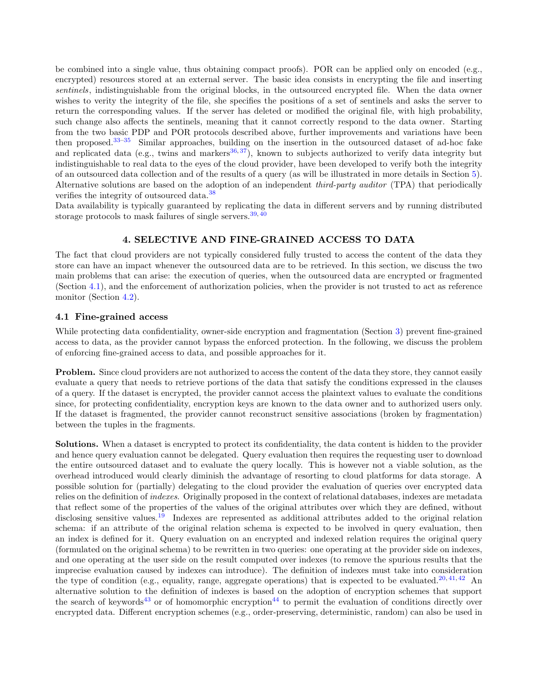be combined into a single value, thus obtaining compact proofs). POR can be applied only on encoded (e.g., encrypted) resources stored at an external server. The basic idea consists in encrypting the file and inserting sentinels, indistinguishable from the original blocks, in the outsourced encrypted file. When the data owner wishes to verity the integrity of the file, she specifies the positions of a set of sentinels and asks the server to return the corresponding values. If the server has deleted or modified the original file, with high probability, such change also affects the sentinels, meaning that it cannot correctly respond to the data owner. Starting from the two basic PDP and POR protocols described above, further improvements and variations have been then proposed.<sup>[33–](#page-10-6)[35](#page-10-7)</sup> Similar approaches, building on the insertion in the outsourced dataset of ad-hoc fake and replicated data (e.g., twins and markers<sup>[36,](#page-10-8) [37](#page-10-9)</sup>), known to subjects authorized to verify data integrity but indistinguishable to real data to the eyes of the cloud provider, have been developed to verify both the integrity of an outsourced data collection and of the results of a query (as will be illustrated in more details in Section [5\)](#page-5-0). Alternative solutions are based on the adoption of an independent *third-party auditor* (TPA) that periodically verifies the integrity of outsourced data.<sup>[38](#page-10-10)</sup>

<span id="page-4-0"></span>Data availability is typically guaranteed by replicating the data in different servers and by running distributed storage protocols to mask failures of single servers.  $39,40$  $39,40$ 

### 4. SELECTIVE AND FINE-GRAINED ACCESS TO DATA

The fact that cloud providers are not typically considered fully trusted to access the content of the data they store can have an impact whenever the outsourced data are to be retrieved. In this section, we discuss the two main problems that can arise: the execution of queries, when the outsourced data are encrypted or fragmented (Section [4.1\)](#page-4-1), and the enforcement of authorization policies, when the provider is not trusted to act as reference monitor (Section [4.2\)](#page-5-1).

#### <span id="page-4-1"></span>4.1 Fine-grained access

While protecting data confidentiality, owner-side encryption and fragmentation (Section [3\)](#page-2-0) prevent fine-grained access to data, as the provider cannot bypass the enforced protection. In the following, we discuss the problem of enforcing fine-grained access to data, and possible approaches for it.

Problem. Since cloud providers are not authorized to access the content of the data they store, they cannot easily evaluate a query that needs to retrieve portions of the data that satisfy the conditions expressed in the clauses of a query. If the dataset is encrypted, the provider cannot access the plaintext values to evaluate the conditions since, for protecting confidentiality, encryption keys are known to the data owner and to authorized users only. If the dataset is fragmented, the provider cannot reconstruct sensitive associations (broken by fragmentation) between the tuples in the fragments.

Solutions. When a dataset is encrypted to protect its confidentiality, the data content is hidden to the provider and hence query evaluation cannot be delegated. Query evaluation then requires the requesting user to download the entire outsourced dataset and to evaluate the query locally. This is however not a viable solution, as the overhead introduced would clearly diminish the advantage of resorting to cloud platforms for data storage. A possible solution for (partially) delegating to the cloud provider the evaluation of queries over encrypted data relies on the definition of *indexes*. Originally proposed in the context of relational databases, indexes are metadata that reflect some of the properties of the values of the original attributes over which they are defined, without disclosing sensitive values.<sup>[19](#page-9-12)</sup> Indexes are represented as additional attributes added to the original relation schema: if an attribute of the original relation schema is expected to be involved in query evaluation, then an index is defined for it. Query evaluation on an encrypted and indexed relation requires the original query (formulated on the original schema) to be rewritten in two queries: one operating at the provider side on indexes, and one operating at the user side on the result computed over indexes (to remove the spurious results that the imprecise evaluation caused by indexes can introduce). The definition of indexes must take into consideration the type of condition (e.g., equality, range, aggregate operations) that is expected to be evaluated.<sup>[20,](#page-9-13) [41,](#page-10-13) [42](#page-10-14)</sup> An alternative solution to the definition of indexes is based on the adoption of encryption schemes that support the search of keywords<sup>[43](#page-10-15)</sup> or of homomorphic encryption<sup>[44](#page-10-16)</sup> to permit the evaluation of conditions directly over encrypted data. Different encryption schemes (e.g., order-preserving, deterministic, random) can also be used in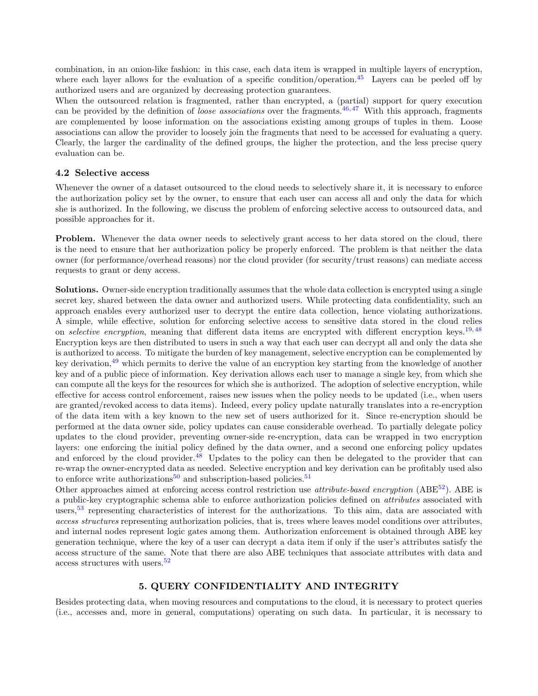combination, in an onion-like fashion: in this case, each data item is wrapped in multiple layers of encryption, where each layer allows for the evaluation of a specific condition/operation.<sup>[45](#page-10-17)</sup> Layers can be peeled off by authorized users and are organized by decreasing protection guarantees.

When the outsourced relation is fragmented, rather than encrypted, a (partial) support for query execution can be provided by the definition of *loose associations* over the fragments.<sup>[46,](#page-10-18) [47](#page-10-19)</sup> With this approach, fragments are complemented by loose information on the associations existing among groups of tuples in them. Loose associations can allow the provider to loosely join the fragments that need to be accessed for evaluating a query. Clearly, the larger the cardinality of the defined groups, the higher the protection, and the less precise query evaluation can be.

#### <span id="page-5-1"></span>4.2 Selective access

Whenever the owner of a dataset outsourced to the cloud needs to selectively share it, it is necessary to enforce the authorization policy set by the owner, to ensure that each user can access all and only the data for which she is authorized. In the following, we discuss the problem of enforcing selective access to outsourced data, and possible approaches for it.

Problem. Whenever the data owner needs to selectively grant access to her data stored on the cloud, there is the need to ensure that her authorization policy be properly enforced. The problem is that neither the data owner (for performance/overhead reasons) nor the cloud provider (for security/trust reasons) can mediate access requests to grant or deny access.

Solutions. Owner-side encryption traditionally assumes that the whole data collection is encrypted using a single secret key, shared between the data owner and authorized users. While protecting data confidentiality, such an approach enables every authorized user to decrypt the entire data collection, hence violating authorizations. A simple, while effective, solution for enforcing selective access to sensitive data stored in the cloud relies on *selective encryption*, meaning that different data items are encrypted with different encryption keys.<sup>[19,](#page-9-12) [48](#page-11-0)</sup> Encryption keys are then distributed to users in such a way that each user can decrypt all and only the data she is authorized to access. To mitigate the burden of key management, selective encryption can be complemented by key derivation,<sup>[49](#page-11-1)</sup> which permits to derive the value of an encryption key starting from the knowledge of another key and of a public piece of information. Key derivation allows each user to manage a single key, from which she can compute all the keys for the resources for which she is authorized. The adoption of selective encryption, while effective for access control enforcement, raises new issues when the policy needs to be updated (i.e., when users are granted/revoked access to data items). Indeed, every policy update naturally translates into a re-encryption of the data item with a key known to the new set of users authorized for it. Since re-encryption should be performed at the data owner side, policy updates can cause considerable overhead. To partially delegate policy updates to the cloud provider, preventing owner-side re-encryption, data can be wrapped in two encryption layers: one enforcing the initial policy defined by the data owner, and a second one enforcing policy updates and enforced by the cloud provider. $48$  Updates to the policy can then be delegated to the provider that can re-wrap the owner-encrypted data as needed. Selective encryption and key derivation can be profitably used also to enforce write authorizations<sup>[50](#page-11-2)</sup> and subscription-based policies.<sup>[51](#page-11-3)</sup>

Other approaches aimed at enforcing access control restriction use *attribute-based encryption* (ABE<sup>[52](#page-11-4)</sup>). ABE is a public-key cryptographic schema able to enforce authorization policies defined on attributes associated with users,<sup>[53](#page-11-5)</sup> representing characteristics of interest for the authorizations. To this aim, data are associated with access structures representing authorization policies, that is, trees where leaves model conditions over attributes, and internal nodes represent logic gates among them. Authorization enforcement is obtained through ABE key generation technique, where the key of a user can decrypt a data item if only if the user's attributes satisfy the access structure of the same. Note that there are also ABE techniques that associate attributes with data and access structures with users.[52](#page-11-4)

# 5. QUERY CONFIDENTIALITY AND INTEGRITY

<span id="page-5-0"></span>Besides protecting data, when moving resources and computations to the cloud, it is necessary to protect queries (i.e., accesses and, more in general, computations) operating on such data. In particular, it is necessary to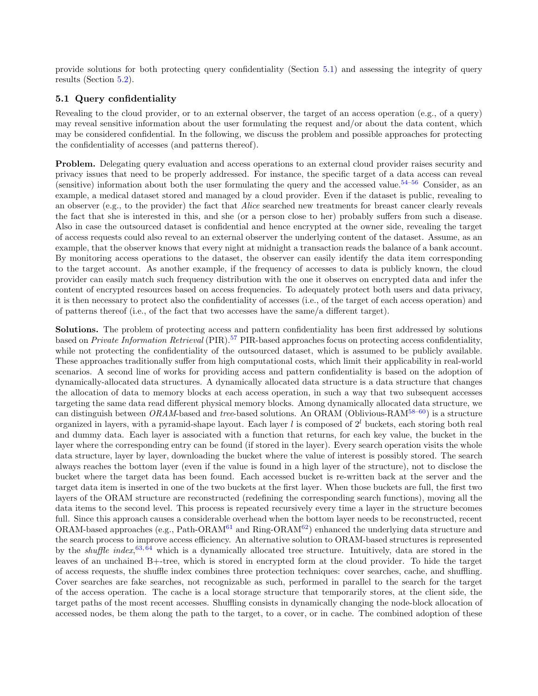provide solutions for both protecting query confidentiality (Section [5.1\)](#page-6-0) and assessing the integrity of query results (Section [5.2\)](#page-7-1).

## <span id="page-6-0"></span>5.1 Query confidentiality

Revealing to the cloud provider, or to an external observer, the target of an access operation (e.g., of a query) may reveal sensitive information about the user formulating the request and/or about the data content, which may be considered confidential. In the following, we discuss the problem and possible approaches for protecting the confidentiality of accesses (and patterns thereof).

Problem. Delegating query evaluation and access operations to an external cloud provider raises security and privacy issues that need to be properly addressed. For instance, the specific target of a data access can reveal (sensitive) information about both the user formulating the query and the accessed value.<sup>[54](#page-11-6)[–56](#page-11-7)</sup> Consider, as an example, a medical dataset stored and managed by a cloud provider. Even if the dataset is public, revealing to an observer (e.g., to the provider) the fact that Alice searched new treatments for breast cancer clearly reveals the fact that she is interested in this, and she (or a person close to her) probably suffers from such a disease. Also in case the outsourced dataset is confidential and hence encrypted at the owner side, revealing the target of access requests could also reveal to an external observer the underlying content of the dataset. Assume, as an example, that the observer knows that every night at midnight a transaction reads the balance of a bank account. By monitoring access operations to the dataset, the observer can easily identify the data item corresponding to the target account. As another example, if the frequency of accesses to data is publicly known, the cloud provider can easily match such frequency distribution with the one it observes on encrypted data and infer the content of encrypted resources based on access frequencies. To adequately protect both users and data privacy, it is then necessary to protect also the confidentiality of accesses (i.e., of the target of each access operation) and of patterns thereof (i.e., of the fact that two accesses have the same/a different target).

Solutions. The problem of protecting access and pattern confidentiality has been first addressed by solutions based on *Private Information Retrieval* (PIR).<sup>[57](#page-11-8)</sup> PIR-based approaches focus on protecting access confidentiality, while not protecting the confidentiality of the outsourced dataset, which is assumed to be publicly available. These approaches traditionally suffer from high computational costs, which limit their applicability in real-world scenarios. A second line of works for providing access and pattern confidentiality is based on the adoption of dynamically-allocated data structures. A dynamically allocated data structure is a data structure that changes the allocation of data to memory blocks at each access operation, in such a way that two subsequent accesses targeting the same data read different physical memory blocks. Among dynamically allocated data structure, we can distinguish between  $ORAM$ -based and tree-based solutions. An ORAM (Oblivious-RAM<sup>[58–](#page-11-9)[60](#page-11-10)</sup>) is a structure organized in layers, with a pyramid-shape layout. Each layer l is composed of  $2<sup>l</sup>$  buckets, each storing both real and dummy data. Each layer is associated with a function that returns, for each key value, the bucket in the layer where the corresponding entry can be found (if stored in the layer). Every search operation visits the whole data structure, layer by layer, downloading the bucket where the value of interest is possibly stored. The search always reaches the bottom layer (even if the value is found in a high layer of the structure), not to disclose the bucket where the target data has been found. Each accessed bucket is re-written back at the server and the target data item is inserted in one of the two buckets at the first layer. When those buckets are full, the first two layers of the ORAM structure are reconstructed (redefining the corresponding search functions), moving all the data items to the second level. This process is repeated recursively every time a layer in the structure becomes full. Since this approach causes a considerable overhead when the bottom layer needs to be reconstructed, recent ORAM-based approaches (e.g., Path-ORAM $^{61}$  $^{61}$  $^{61}$  and Ring-ORAM $^{62}$  $^{62}$  $^{62}$ ) enhanced the underlying data structure and the search process to improve access efficiency. An alternative solution to ORAM-based structures is represented by the *shuffle index*,  $63, 64$  $63, 64$  $63, 64$  which is a dynamically allocated tree structure. Intuitively, data are stored in the leaves of an unchained B+-tree, which is stored in encrypted form at the cloud provider. To hide the target of access requests, the shuffle index combines three protection techniques: cover searches, cache, and shuffling. Cover searches are fake searches, not recognizable as such, performed in parallel to the search for the target of the access operation. The cache is a local storage structure that temporarily stores, at the client side, the target paths of the most recent accesses. Shuffling consists in dynamically changing the node-block allocation of accessed nodes, be them along the path to the target, to a cover, or in cache. The combined adoption of these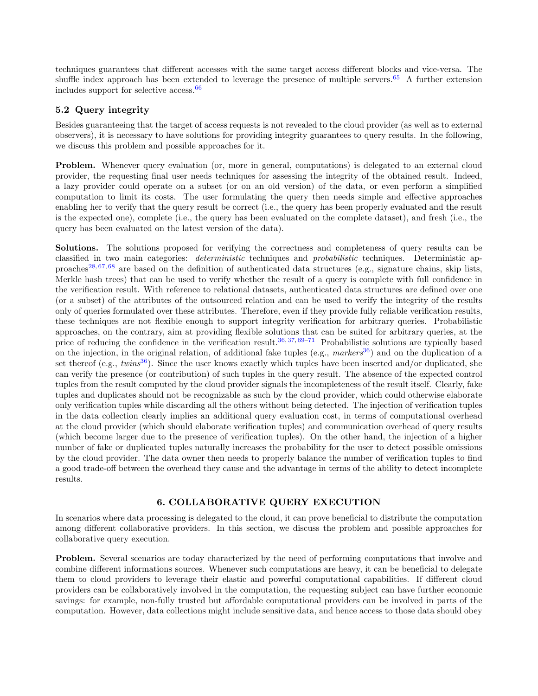techniques guarantees that different accesses with the same target access different blocks and vice-versa. The shuffle index approach has been extended to leverage the presence of multiple servers.<sup>[65](#page-11-15)</sup> A further extension includes support for selective access.[66](#page-11-16)

## <span id="page-7-1"></span>5.2 Query integrity

Besides guaranteeing that the target of access requests is not revealed to the cloud provider (as well as to external observers), it is necessary to have solutions for providing integrity guarantees to query results. In the following, we discuss this problem and possible approaches for it.

Problem. Whenever query evaluation (or, more in general, computations) is delegated to an external cloud provider, the requesting final user needs techniques for assessing the integrity of the obtained result. Indeed, a lazy provider could operate on a subset (or on an old version) of the data, or even perform a simplified computation to limit its costs. The user formulating the query then needs simple and effective approaches enabling her to verify that the query result be correct (i.e., the query has been properly evaluated and the result is the expected one), complete (i.e., the query has been evaluated on the complete dataset), and fresh (i.e., the query has been evaluated on the latest version of the data).

Solutions. The solutions proposed for verifying the correctness and completeness of query results can be classified in two main categories: deterministic techniques and probabilistic techniques. Deterministic ap-proaches<sup>[28,](#page-10-20) [67,](#page-11-17) [68](#page-11-18)</sup> are based on the definition of authenticated data structures (e.g., signature chains, skip lists, Merkle hash trees) that can be used to verify whether the result of a query is complete with full confidence in the verification result. With reference to relational datasets, authenticated data structures are defined over one (or a subset) of the attributes of the outsourced relation and can be used to verify the integrity of the results only of queries formulated over these attributes. Therefore, even if they provide fully reliable verification results, these techniques are not flexible enough to support integrity verification for arbitrary queries. Probabilistic approaches, on the contrary, aim at providing flexible solutions that can be suited for arbitrary queries, at the price of reducing the confidence in the verification result.<sup>[36,](#page-10-8) [37,](#page-10-9) [69–](#page-11-19)[71](#page-12-0)</sup> Probabilistic solutions are typically based on the injection, in the original relation, of additional fake tuples (e.g.,  $markers^{36}$  $markers^{36}$  $markers^{36}$ ) and on the duplication of a set thereof (e.g., twins<sup>[36](#page-10-8)</sup>). Since the user knows exactly which tuples have been inserted and/or duplicated, she can verify the presence (or contribution) of such tuples in the query result. The absence of the expected control tuples from the result computed by the cloud provider signals the incompleteness of the result itself. Clearly, fake tuples and duplicates should not be recognizable as such by the cloud provider, which could otherwise elaborate only verification tuples while discarding all the others without being detected. The injection of verification tuples in the data collection clearly implies an additional query evaluation cost, in terms of computational overhead at the cloud provider (which should elaborate verification tuples) and communication overhead of query results (which become larger due to the presence of verification tuples). On the other hand, the injection of a higher number of fake or duplicated tuples naturally increases the probability for the user to detect possible omissions by the cloud provider. The data owner then needs to properly balance the number of verification tuples to find a good trade-off between the overhead they cause and the advantage in terms of the ability to detect incomplete results.

## 6. COLLABORATIVE QUERY EXECUTION

<span id="page-7-0"></span>In scenarios where data processing is delegated to the cloud, it can prove beneficial to distribute the computation among different collaborative providers. In this section, we discuss the problem and possible approaches for collaborative query execution.

Problem. Several scenarios are today characterized by the need of performing computations that involve and combine different informations sources. Whenever such computations are heavy, it can be beneficial to delegate them to cloud providers to leverage their elastic and powerful computational capabilities. If different cloud providers can be collaboratively involved in the computation, the requesting subject can have further economic savings: for example, non-fully trusted but affordable computational providers can be involved in parts of the computation. However, data collections might include sensitive data, and hence access to those data should obey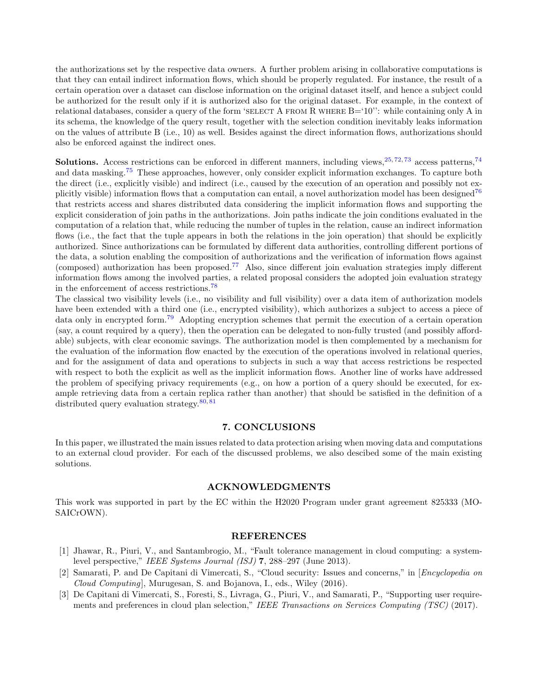the authorizations set by the respective data owners. A further problem arising in collaborative computations is that they can entail indirect information flows, which should be properly regulated. For instance, the result of a certain operation over a dataset can disclose information on the original dataset itself, and hence a subject could be authorized for the result only if it is authorized also for the original dataset. For example, in the context of relational databases, consider a query of the form 'SELECT A FROM R WHERE  $B=10$ ": while containing only A in its schema, the knowledge of the query result, together with the selection condition inevitably leaks information on the values of attribute B (i.e., 10) as well. Besides against the direct information flows, authorizations should also be enforced against the indirect ones.

**Solutions.** Access restrictions can be enforced in different manners, including views,  $25, 72, 73$  $25, 72, 73$  $25, 72, 73$  $25, 72, 73$  $25, 72, 73$  access patterns,  $74$ and data masking.<sup>[75](#page-12-4)</sup> These approaches, however, only consider explicit information exchanges. To capture both the direct (i.e., explicitly visible) and indirect (i.e., caused by the execution of an operation and possibly not ex-plicitly visible) information flows that a computation can entail, a novel authorization model has been designed<sup>[76](#page-12-5)</sup> that restricts access and shares distributed data considering the implicit information flows and supporting the explicit consideration of join paths in the authorizations. Join paths indicate the join conditions evaluated in the computation of a relation that, while reducing the number of tuples in the relation, cause an indirect information flows (i.e., the fact that the tuple appears in both the relations in the join operation) that should be explicitly authorized. Since authorizations can be formulated by different data authorities, controlling different portions of the data, a solution enabling the composition of authorizations and the verification of information flows against (composed) authorization has been proposed.<sup>[77](#page-12-6)</sup> Also, since different join evaluation strategies imply different information flows among the involved parties, a related proposal considers the adopted join evaluation strategy in the enforcement of access restrictions.<sup>[78](#page-12-7)</sup>

The classical two visibility levels (i.e., no visibility and full visibility) over a data item of authorization models have been extended with a third one (i.e., encrypted visibility), which authorizes a subject to access a piece of data only in encrypted form.[79](#page-12-8) Adopting encryption schemes that permit the execution of a certain operation (say, a count required by a query), then the operation can be delegated to non-fully trusted (and possibly affordable) subjects, with clear economic savings. The authorization model is then complemented by a mechanism for the evaluation of the information flow enacted by the execution of the operations involved in relational queries, and for the assignment of data and operations to subjects in such a way that access restrictions be respected with respect to both the explicit as well as the implicit information flows. Another line of works have addressed the problem of specifying privacy requirements (e.g., on how a portion of a query should be executed, for example retrieving data from a certain replica rather than another) that should be satisfied in the definition of a distributed query evaluation strategy.<sup>80, [81](#page-12-9)</sup>

## 7. CONCLUSIONS

<span id="page-8-2"></span>In this paper, we illustrated the main issues related to data protection arising when moving data and computations to an external cloud provider. For each of the discussed problems, we also descibed some of the main existing solutions.

#### ACKNOWLEDGMENTS

This work was supported in part by the EC within the H2020 Program under grant agreement 825333 (MO-SAICrOWN).

## REFERENCES

- <span id="page-8-0"></span>[1] Jhawar, R., Piuri, V., and Santambrogio, M., "Fault tolerance management in cloud computing: a systemlevel perspective," IEEE Systems Journal (ISJ) 7, 288–297 (June 2013).
- <span id="page-8-1"></span>[2] Samarati, P. and De Capitani di Vimercati, S., "Cloud security: Issues and concerns," in [Encyclopedia on Cloud Computing], Murugesan, S. and Bojanova, I., eds., Wiley (2016).
- <span id="page-8-3"></span>[3] De Capitani di Vimercati, S., Foresti, S., Livraga, G., Piuri, V., and Samarati, P., "Supporting user requirements and preferences in cloud plan selection," IEEE Transactions on Services Computing (TSC) (2017).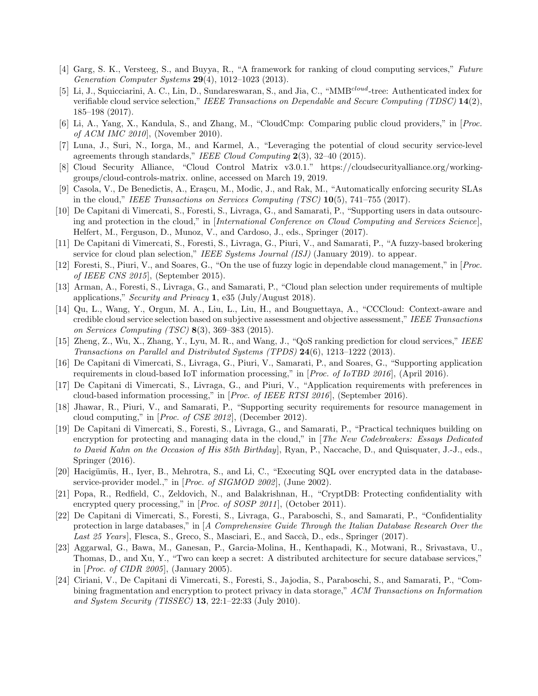- <span id="page-9-0"></span>[4] Garg, S. K., Versteeg, S., and Buyya, R., "A framework for ranking of cloud computing services," Future Generation Computer Systems 29(4), 1012–1023 (2013).
- <span id="page-9-1"></span>[5] Li, J., Squicciarini, A. C., Lin, D., Sundareswaran, S., and Jia, C., "MMB<sup>cloud</sup>-tree: Authenticated index for verifiable cloud service selection," IEEE Transactions on Dependable and Secure Computing (TDSC) 14(2), 185–198 (2017).
- <span id="page-9-2"></span>[6] Li, A., Yang, X., Kandula, S., and Zhang, M., "CloudCmp: Comparing public cloud providers," in [Proc. of ACM IMC 2010], (November 2010).
- <span id="page-9-3"></span>[7] Luna, J., Suri, N., Iorga, M., and Karmel, A., "Leveraging the potential of cloud security service-level agreements through standards," IEEE Cloud Computing 2(3), 32–40 (2015).
- [8] Cloud Security Alliance, "Cloud Control Matrix v3.0.1." https://cloudsecurityalliance.org/workinggroups/cloud-controls-matrix. online, accessed on March 19, 2019.
- [9] Casola, V., De Benedictis, A., Eraşcu, M., Modic, J., and Rak, M., "Automatically enforcing security SLAs in the cloud," IEEE Transactions on Services Computing  $(TSC)$  10(5), 741–755 (2017).
- <span id="page-9-4"></span>[10] De Capitani di Vimercati, S., Foresti, S., Livraga, G., and Samarati, P., "Supporting users in data outsourcing and protection in the cloud," in [International Conference on Cloud Computing and Services Science], Helfert, M., Ferguson, D., Munoz, V., and Cardoso, J., eds., Springer (2017).
- <span id="page-9-5"></span>[11] De Capitani di Vimercati, S., Foresti, S., Livraga, G., Piuri, V., and Samarati, P., "A fuzzy-based brokering service for cloud plan selection," IEEE Systems Journal (ISJ) (January 2019). to appear.
- <span id="page-9-6"></span>[12] Foresti, S., Piuri, V., and Soares, G., "On the use of fuzzy logic in dependable cloud management," in [Proc. of IEEE CNS 2015], (September 2015).
- <span id="page-9-7"></span>[13] Arman, A., Foresti, S., Livraga, G., and Samarati, P., "Cloud plan selection under requirements of multiple applications," Security and Privacy 1, e35 (July/August 2018).
- <span id="page-9-8"></span>[14] Qu, L., Wang, Y., Orgun, M. A., Liu, L., Liu, H., and Bouguettaya, A., "CCCloud: Context-aware and credible cloud service selection based on subjective assessment and objective assessment," IEEE Transactions on Services Computing (TSC) 8(3), 369–383 (2015).
- <span id="page-9-9"></span>[15] Zheng, Z., Wu, X., Zhang, Y., Lyu, M. R., and Wang, J., "QoS ranking prediction for cloud services," IEEE Transactions on Parallel and Distributed Systems (TPDS)  $24(6)$ , 1213–1222 (2013).
- <span id="page-9-10"></span>[16] De Capitani di Vimercati, S., Livraga, G., Piuri, V., Samarati, P., and Soares, G., "Supporting application requirements in cloud-based IoT information processing," in [Proc. of IoTBD 2016], (April 2016).
- [17] De Capitani di Vimercati, S., Livraga, G., and Piuri, V., "Application requirements with preferences in cloud-based information processing," in [Proc. of IEEE RTSI 2016], (September 2016).
- <span id="page-9-11"></span>[18] Jhawar, R., Piuri, V., and Samarati, P., "Supporting security requirements for resource management in cloud computing," in [Proc. of CSE 2012], (December 2012).
- <span id="page-9-12"></span>[19] De Capitani di Vimercati, S., Foresti, S., Livraga, G., and Samarati, P., "Practical techniques building on encryption for protecting and managing data in the cloud," in [The New Codebreakers: Essays Dedicated to David Kahn on the Occasion of His 85th Birthday], Ryan, P., Naccache, D., and Quisquater, J.-J., eds., Springer (2016).
- <span id="page-9-13"></span>[20] Hacigümüs, H., Iyer, B., Mehrotra, S., and Li, C., "Executing SQL over encrypted data in the databaseservice-provider model.," in [Proc. of SIGMOD 2002], (June 2002).
- <span id="page-9-14"></span>[21] Popa, R., Redfield, C., Zeldovich, N., and Balakrishnan, H., "CryptDB: Protecting confidentiality with encrypted query processing," in [Proc. of SOSP 2011], (October 2011).
- <span id="page-9-15"></span>[22] De Capitani di Vimercati, S., Foresti, S., Livraga, G., Paraboschi, S., and Samarati, P., "Confidentiality protection in large databases," in  $[A \text{ } Comprehensive \text{ } Guide \text{ } Through \text{ } the \text{ } Italian \text{ } Database \text{ } Research \text{ } Over \text{ } the$ Last 25 Years], Flesca, S., Greco, S., Masciari, E., and Saccà, D., eds., Springer (2017).
- <span id="page-9-16"></span>[23] Aggarwal, G., Bawa, M., Ganesan, P., Garcia-Molina, H., Kenthapadi, K., Motwani, R., Srivastava, U., Thomas, D., and Xu, Y., "Two can keep a secret: A distributed architecture for secure database services," in [Proc. of CIDR 2005], (January 2005).
- <span id="page-9-17"></span>[24] Ciriani, V., De Capitani di Vimercati, S., Foresti, S., Jajodia, S., Paraboschi, S., and Samarati, P., "Combining fragmentation and encryption to protect privacy in data storage," ACM Transactions on Information and System Security (TISSEC) 13, 22:1–22:33 (July 2010).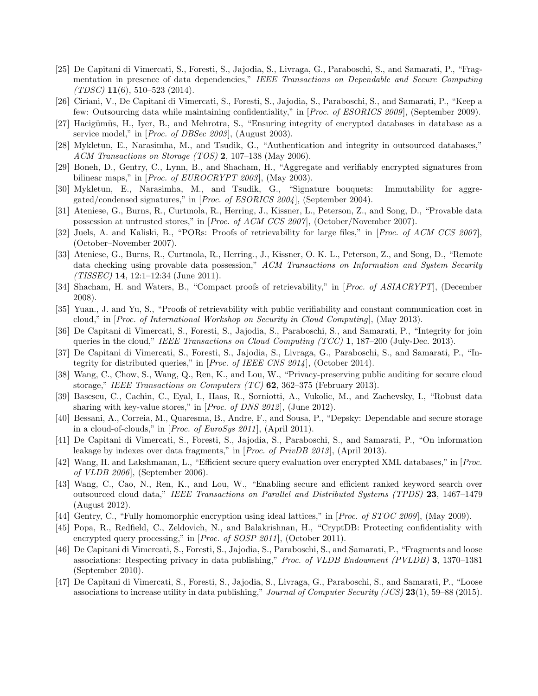- <span id="page-10-0"></span>[25] De Capitani di Vimercati, S., Foresti, S., Jajodia, S., Livraga, G., Paraboschi, S., and Samarati, P., "Fragmentation in presence of data dependencies," IEEE Transactions on Dependable and Secure Computing  $(TDSC)$  11(6), 510-523 (2014).
- <span id="page-10-1"></span>[26] Ciriani, V., De Capitani di Vimercati, S., Foresti, S., Jajodia, S., Paraboschi, S., and Samarati, P., "Keep a few: Outsourcing data while maintaining confidentiality," in [Proc. of ESORICS 2009], (September 2009).
- <span id="page-10-2"></span>[27] Hacigümüs, H., Iyer, B., and Mehrotra, S., "Ensuring integrity of encrypted databases in database as a service model," in [*Proc. of DBSec 2003*], (August 2003).
- <span id="page-10-20"></span>[28] Mykletun, E., Narasimha, M., and Tsudik, G., "Authentication and integrity in outsourced databases," ACM Transactions on Storage (TOS) 2, 107–138 (May 2006).
- [29] Boneh, D., Gentry, C., Lynn, B., and Shacham, H., "Aggregate and verifiably encrypted signatures from bilinear maps," in [*Proc. of EUROCRYPT 2003*], (May 2003).
- <span id="page-10-3"></span>[30] Mykletun, E., Narasimha, M., and Tsudik, G., "Signature bouquets: Immutability for aggregated/condensed signatures," in [Proc. of ESORICS 2004], (September 2004).
- <span id="page-10-4"></span>[31] Ateniese, G., Burns, R., Curtmola, R., Herring, J., Kissner, L., Peterson, Z., and Song, D., "Provable data possession at untrusted stores," in [Proc. of ACM CCS 2007], (October/November 2007).
- <span id="page-10-5"></span>[32] Juels, A. and Kaliski, B., "PORs: Proofs of retrievability for large files," in [Proc. of ACM CCS 2007], (October–November 2007).
- <span id="page-10-6"></span>[33] Ateniese, G., Burns, R., Curtmola, R., Herring., J., Kissner, O. K. L., Peterson, Z., and Song, D., "Remote data checking using provable data possession," ACM Transactions on Information and System Security  $(TISSEC)$  **14**, 12:1-12:34 (June 2011).
- [34] Shacham, H. and Waters, B., "Compact proofs of retrievability," in [*Proc. of ASIACRYPT*], (December 2008).
- <span id="page-10-7"></span>[35] Yuan., J. and Yu, S., "Proofs of retrievability with public verifiability and constant communication cost in cloud," in [Proc. of International Workshop on Security in Cloud Computing], (May 2013).
- <span id="page-10-8"></span>[36] De Capitani di Vimercati, S., Foresti, S., Jajodia, S., Paraboschi, S., and Samarati, P., "Integrity for join queries in the cloud," IEEE Transactions on Cloud Computing (TCC) 1, 187–200 (July-Dec. 2013).
- <span id="page-10-9"></span>[37] De Capitani di Vimercati, S., Foresti, S., Jajodia, S., Livraga, G., Paraboschi, S., and Samarati, P., "Integrity for distributed queries," in [Proc. of IEEE CNS 2014], (October 2014).
- <span id="page-10-10"></span>[38] Wang, C., Chow, S., Wang, Q., Ren, K., and Lou, W., "Privacy-preserving public auditing for secure cloud storage," IEEE Transactions on Computers  $(TC)$  62, 362-375 (February 2013).
- <span id="page-10-11"></span>[39] Basescu, C., Cachin, C., Eyal, I., Haas, R., Sorniotti, A., Vukolic, M., and Zachevsky, I., "Robust data sharing with key-value stores," in [Proc. of DNS 2012], (June 2012).
- <span id="page-10-12"></span>[40] Bessani, A., Correia, M., Quaresma, B., Andre, F., and Sousa, P., "Depsky: Dependable and secure storage in a cloud-of-clouds," in [Proc. of EuroSys 2011], (April 2011).
- <span id="page-10-13"></span>[41] De Capitani di Vimercati, S., Foresti, S., Jajodia, S., Paraboschi, S., and Samarati, P., "On information leakage by indexes over data fragments," in [Proc. of PrivDB 2013], (April 2013).
- <span id="page-10-14"></span>[42] Wang, H. and Lakshmanan, L., "Efficient secure query evaluation over encrypted XML databases," in [Proc. of VLDB 2006], (September 2006).
- <span id="page-10-15"></span>[43] Wang, C., Cao, N., Ren, K., and Lou, W., "Enabling secure and efficient ranked keyword search over outsourced cloud data," IEEE Transactions on Parallel and Distributed Systems (TPDS) 23, 1467–1479 (August 2012).
- <span id="page-10-17"></span><span id="page-10-16"></span>[44] Gentry, C., "Fully homomorphic encryption using ideal lattices," in [Proc. of STOC 2009], (May 2009).
- [45] Popa, R., Redfield, C., Zeldovich, N., and Balakrishnan, H., "CryptDB: Protecting confidentiality with encrypted query processing," in [Proc. of SOSP 2011], (October 2011).
- <span id="page-10-18"></span>[46] De Capitani di Vimercati, S., Foresti, S., Jajodia, S., Paraboschi, S., and Samarati, P., "Fragments and loose associations: Respecting privacy in data publishing," Proc. of VLDB Endowment (PVLDB) 3, 1370–1381 (September 2010).
- <span id="page-10-19"></span>[47] De Capitani di Vimercati, S., Foresti, S., Jajodia, S., Livraga, G., Paraboschi, S., and Samarati, P., "Loose associations to increase utility in data publishing," Journal of Computer Security (JCS) 23(1), 59–88 (2015).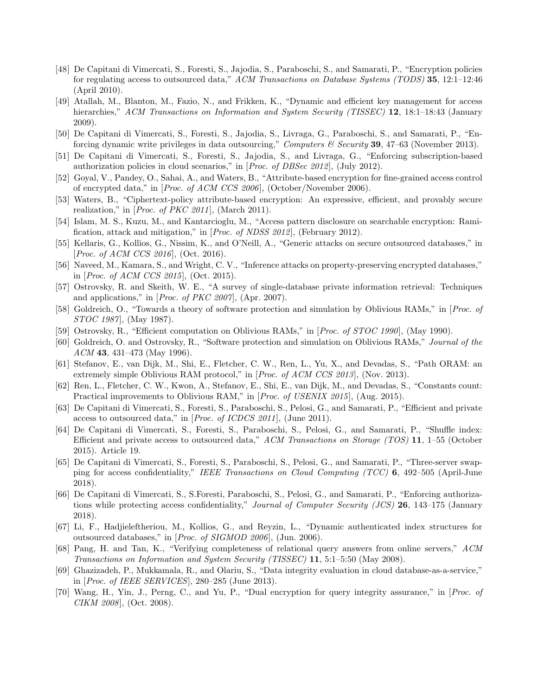- <span id="page-11-0"></span>[48] De Capitani di Vimercati, S., Foresti, S., Jajodia, S., Paraboschi, S., and Samarati, P., "Encryption policies for regulating access to outsourced data," ACM Transactions on Database Systems (TODS) 35, 12:1–12:46 (April 2010).
- <span id="page-11-1"></span>[49] Atallah, M., Blanton, M., Fazio, N., and Frikken, K., "Dynamic and efficient key management for access hierarchies," ACM Transactions on Information and System Security (TISSEC) 12, 18:1–18:43 (January 2009).
- <span id="page-11-2"></span>[50] De Capitani di Vimercati, S., Foresti, S., Jajodia, S., Livraga, G., Paraboschi, S., and Samarati, P., "Enforcing dynamic write privileges in data outsourcing," Computers & Security 39, 47–63 (November 2013).
- <span id="page-11-3"></span>[51] De Capitani di Vimercati, S., Foresti, S., Jajodia, S., and Livraga, G., "Enforcing subscription-based authorization policies in cloud scenarios," in  $[Proc. of DBSec 2012]$ , (July 2012).
- <span id="page-11-4"></span>[52] Goyal, V., Pandey, O., Sahai, A., and Waters, B., "Attribute-based encryption for fine-grained access control of encrypted data," in [Proc. of ACM CCS 2006], (October/November 2006).
- <span id="page-11-5"></span>[53] Waters, B., "Ciphertext-policy attribute-based encryption: An expressive, efficient, and provably secure realization," in [*Proc. of PKC 2011*], (March 2011).
- <span id="page-11-6"></span>[54] Islam, M. S., Kuzu, M., and Kantarcioglu, M., "Access pattern disclosure on searchable encryption: Ramification, attack and mitigation," in [Proc. of NDSS 2012], (February 2012).
- [55] Kellaris, G., Kollios, G., Nissim, K., and O'Neill, A., "Generic attacks on secure outsourced databases," in [*Proc. of ACM CCS 2016*], (Oct. 2016).
- <span id="page-11-7"></span>[56] Naveed, M., Kamara, S., and Wright, C. V., "Inference attacks on property-preserving encrypted databases," in [*Proc. of ACM CCS 2015*], (Oct. 2015).
- <span id="page-11-8"></span>[57] Ostrovsky, R. and Skeith, W. E., "A survey of single-database private information retrieval: Techniques and applications," in [Proc. of PKC 2007], (Apr. 2007).
- <span id="page-11-9"></span>[58] Goldreich, O., "Towards a theory of software protection and simulation by Oblivious RAMs," in [Proc. of STOC 1987], (May 1987).
- <span id="page-11-10"></span>[59] Ostrovsky, R., "Efficient computation on Oblivious RAMs," in [Proc. of STOC 1990], (May 1990).
- [60] Goldreich, O. and Ostrovsky, R., "Software protection and simulation on Oblivious RAMs," Journal of the ACM 43, 431–473 (May 1996).
- <span id="page-11-11"></span>[61] Stefanov, E., van Dijk, M., Shi, E., Fletcher, C. W., Ren, L., Yu, X., and Devadas, S., "Path ORAM: an extremely simple Oblivious RAM protocol," in [*Proc. of ACM CCS 2013*], (Nov. 2013).
- <span id="page-11-12"></span>[62] Ren, L., Fletcher, C. W., Kwon, A., Stefanov, E., Shi, E., van Dijk, M., and Devadas, S., "Constants count: Practical improvements to Oblivious RAM," in [Proc. of USENIX 2015], (Aug. 2015).
- <span id="page-11-13"></span>[63] De Capitani di Vimercati, S., Foresti, S., Paraboschi, S., Pelosi, G., and Samarati, P., "Efficient and private access to outsourced data," in [Proc. of ICDCS 2011], (June 2011).
- <span id="page-11-14"></span>[64] De Capitani di Vimercati, S., Foresti, S., Paraboschi, S., Pelosi, G., and Samarati, P., "Shuffle index: Efficient and private access to outsourced data," ACM Transactions on Storage (TOS) 11, 1–55 (October 2015). Article 19.
- <span id="page-11-15"></span>[65] De Capitani di Vimercati, S., Foresti, S., Paraboschi, S., Pelosi, G., and Samarati, P., "Three-server swapping for access confidentiality," IEEE Transactions on Cloud Computing (TCC) 6, 492–505 (April-June 2018).
- <span id="page-11-16"></span>[66] De Capitani di Vimercati, S., S.Foresti, Paraboschi, S., Pelosi, G., and Samarati, P., "Enforcing authorizations while protecting access confidentiality," Journal of Computer Security (JCS) 26, 143–175 (January 2018).
- <span id="page-11-17"></span>[67] Li, F., Hadjieleftheriou, M., Kollios, G., and Reyzin, L., "Dynamic authenticated index structures for outsourced databases," in [Proc. of SIGMOD 2006], (Jun. 2006).
- <span id="page-11-18"></span>[68] Pang, H. and Tan, K., "Verifying completeness of relational query answers from online servers," ACM Transactions on Information and System Security (TISSEC) 11, 5:1–5:50 (May 2008).
- <span id="page-11-19"></span>[69] Ghazizadeh, P., Mukkamala, R., and Olariu, S., "Data integrity evaluation in cloud database-as-a-service," in [Proc. of IEEE SERVICES], 280–285 (June 2013).
- [70] Wang, H., Yin, J., Perng, C., and Yu, P., "Dual encryption for query integrity assurance," in [Proc. of CIKM 2008], (Oct. 2008).